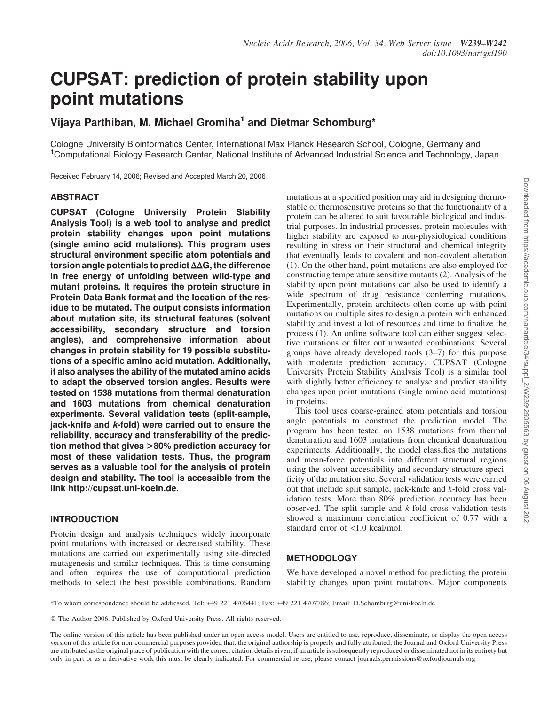# CUPSAT: prediction of protein stability upon point mutations

# Vijaya Parthiban, M. Michael Gromiha<sup>1</sup> and Dietmar Schomburg\*

Cologne University Bioinformatics Center, International Max Planck Research School, Cologne, Germany and <sup>1</sup>Computational Biology Research Center, National Institute of Advanced Industrial Science and Technology, Japan

Received February 14, 2006; Revised and Accepted March 20, 2006

# **ABSTRACT**

CUPSAT (Cologne University Protein Stability Analysis Tool) is a web tool to analyse and predict protein stability changes upon point mutations (single amino acid mutations). This program uses structural environment specific atom potentials and torsion angle potentials to predict  $\Delta\Delta G$ , the difference in free energy of unfolding between wild-type and mutant proteins. It requires the protein structure in Protein Data Bank format and the location of the residue to be mutated. The output consists information about mutation site, its structural features (solvent accessibility, secondary structure and torsion angles), and comprehensive information about changes in protein stability for 19 possible substitutions of a specific amino acid mutation. Additionally, it also analyses the ability of the mutated amino acids to adapt the observed torsion angles. Results were tested on 1538 mutations from thermal denaturation and 1603 mutations from chemical denaturation experiments. Several validation tests (split-sample, jack-knife and k-fold) were carried out to ensure the reliability, accuracy and transferability of the prediction method that gives  $>80\%$  prediction accuracy for most of these validation tests. Thus, the program serves as a valuable tool for the analysis of protein design and stability. The tool is accessible from the link http://cupsat.uni-koeln.de.

# INTRODUCTION

Protein design and analysis techniques widely incorporate point mutations with increased or decreased stability. These mutations are carried out experimentally using site-directed mutagenesis and similar techniques. This is time-consuming and often requires the use of computational prediction methods to select the best possible combinations. Random mutations at a specified position may aid in designing thermostable or thermosensitive proteins so that the functionality of a protein can be altered to suit favourable biological and industrial purposes. In industrial processes, protein molecules with higher stability are exposed to non-physiological conditions resulting in stress on their structural and chemical integrity that eventually leads to covalent and non-covalent alteration (1). On the other hand, point mutations are also employed for constructing temperature sensitive mutants (2). Analysis of the stability upon point mutations can also be used to identify a wide spectrum of drug resistance conferring mutations. Experimentally, protein architects often come up with point mutations on multiple sites to design a protein with enhanced stability and invest a lot of resources and time to finalize the process (1). An online software tool can either suggest selective mutations or filter out unwanted combinations. Several groups have already developed tools (3–7) for this purpose with moderate prediction accuracy. CUPSAT (Cologne University Protein Stability Analysis Tool) is a similar tool with slightly better efficiency to analyse and predict stability changes upon point mutations (single amino acid mutations) in proteins.

This tool uses coarse-grained atom potentials and torsion angle potentials to construct the prediction model. The program has been tested on 1538 mutations from thermal denaturation and 1603 mutations from chemical denaturation experiments. Additionally, the model classifies the mutations and mean-force potentials into different structural regions using the solvent accessibility and secondary structure specificity of the mutation site. Several validation tests were carried out that include split sample, jack-knife and *k*-fold cross validation tests. More than 80% prediction accuracy has been observed. The split-sample and *k*-fold cross validation tests showed a maximum correlation coefficient of 0.77 with a standard error of <1.0 kcal/mol.

# METHODOLOGY

We have developed a novel method for predicting the protein stability changes upon point mutations. Major components

\*To whom correspondence should be addressed. Tel: +49 221 4706441; Fax: +49 221 4707786; Email: D.Schomburg@uni-koeln.de

The Author 2006. Published by Oxford University Press. All rights reserved.

The online version of this article has been published under an open access model. Users are entitled to use, reproduce, disseminate, or display the open access version of this article for non-commercial purposes provided that: the original authorship is properly and fully attributed; the Journal and Oxford University Press are attributed as the original place of publication with the correct citation details given; if an article is subsequently reproduced or disseminated not in its entirety but only in part or as a derivative work this must be clearly indicated. For commercial re-use, please contact journals.permissions@oxfordjournals.org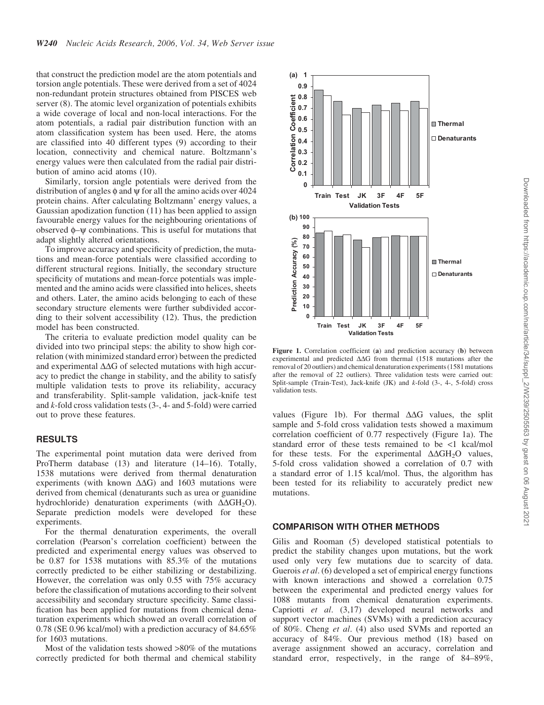that construct the prediction model are the atom potentials and torsion angle potentials. These were derived from a set of 4024 non-redundant protein structures obtained from PISCES web server (8). The atomic level organization of potentials exhibits a wide coverage of local and non-local interactions. For the atom potentials, a radial pair distribution function with an atom classification system has been used. Here, the atoms are classified into 40 different types (9) according to their location, connectivity and chemical nature. Boltzmann's energy values were then calculated from the radial pair distribution of amino acid atoms (10).

Similarly, torsion angle potentials were derived from the distribution of angles  $\phi$  and  $\psi$  for all the amino acids over 4024 protein chains. After calculating Boltzmann' energy values, a Gaussian apodization function (11) has been applied to assign favourable energy values for the neighbouring orientations of observed  $\phi$ – $\psi$  combinations. This is useful for mutations that adapt slightly altered orientations.

To improve accuracy and specificity of prediction, the mutations and mean-force potentials were classified according to different structural regions. Initially, the secondary structure specificity of mutations and mean-force potentials was implemented and the amino acids were classified into helices, sheets and others. Later, the amino acids belonging to each of these secondary structure elements were further subdivided according to their solvent accessibility (12). Thus, the prediction model has been constructed.

The criteria to evaluate prediction model quality can be divided into two principal steps: the ability to show high correlation (with minimized standard error) between the predicted and experimental  $\Delta\Delta G$  of selected mutations with high accuracy to predict the change in stability, and the ability to satisfy multiple validation tests to prove its reliability, accuracy and transferability. Split-sample validation, jack-knife test and *k*-fold cross validation tests (3-, 4- and 5-fold) were carried out to prove these features.

# RESULTS

The experimental point mutation data were derived from ProTherm database (13) and literature (14–16). Totally, 1538 mutations were derived from thermal denaturation experiments (with known  $\Delta\Delta G$ ) and 1603 mutations were derived from chemical (denaturants such as urea or guanidine hydrochloride) denaturation experiments (with  $\Delta\Delta GH_2O$ ). Separate prediction models were developed for these experiments.

For the thermal denaturation experiments, the overall correlation (Pearson's correlation coefficient) between the predicted and experimental energy values was observed to be 0.87 for 1538 mutations with 85.3% of the mutations correctly predicted to be either stabilizing or destabilizing. However, the correlation was only 0.55 with 75% accuracy before the classification of mutations according to their solvent accessibility and secondary structure specificity. Same classification has been applied for mutations from chemical denaturation experiments which showed an overall correlation of 0.78 (SE 0.96 kcal/mol) with a prediction accuracy of 84.65% for 1603 mutations.

Most of the validation tests showed >80% of the mutations correctly predicted for both thermal and chemical stability



Figure 1. Correlation coefficient (a) and prediction accuracy (b) between experimental and predicted  $\Delta\Delta G$  from thermal (1518 mutations after the removal of 20 outliers) and chemical denaturation experiments (1581 mutations after the removal of 22 outliers). Three validation tests were carried out: Split-sample (Train-Test), Jack-knife (JK) and *k*-fold (3-, 4-, 5-fold) cross validation tests.

values (Figure 1b). For thermal  $\Delta\Delta G$  values, the split sample and 5-fold cross validation tests showed a maximum correlation coefficient of 0.77 respectively (Figure 1a). The standard error of these tests remained to be <1 kcal/mol for these tests. For the experimental  $\Delta\Delta\text{GH}_2\text{O}$  values, 5-fold cross validation showed a correlation of 0.7 with a standard error of 1.15 kcal/mol. Thus, the algorithm has been tested for its reliability to accurately predict new mutations.

#### COMPARISON WITH OTHER METHODS

Gilis and Rooman (5) developed statistical potentials to predict the stability changes upon mutations, but the work used only very few mutations due to scarcity of data. Guerois *et al*. (6) developed a set of empirical energy functions with known interactions and showed a correlation 0.75 between the experimental and predicted energy values for 1088 mutants from chemical denaturation experiments. Capriotti *et al*. (3,17) developed neural networks and support vector machines (SVMs) with a prediction accuracy of 80%. Cheng *et al*. (4) also used SVMs and reported an accuracy of 84%. Our previous method (18) based on average assignment showed an accuracy, correlation and standard error, respectively, in the range of 84–89%,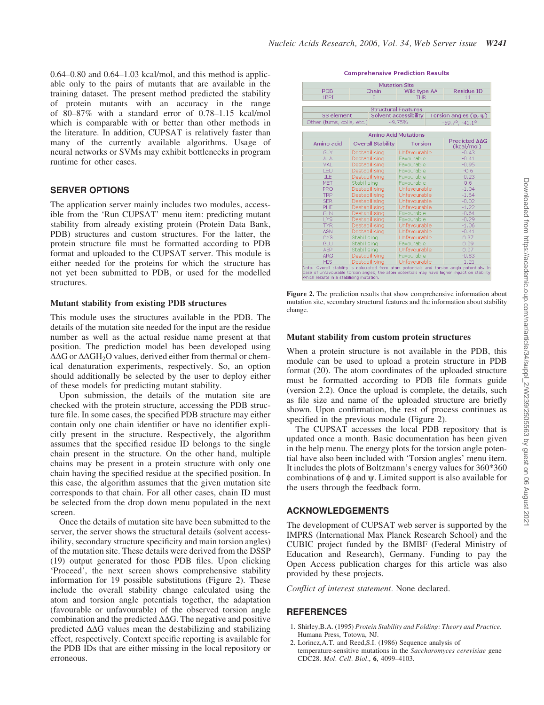0.64–0.80 and 0.64–1.03 kcal/mol, and this method is applicable only to the pairs of mutants that are available in the training dataset. The present method predicted the stability of protein mutants with an accuracy in the range of 80–87% with a standard error of 0.78–1.15 kcal/mol which is comparable with or better than other methods in the literature. In addition, CUPSAT is relatively faster than many of the currently available algorithms. Usage of neural networks or SVMs may exhibit bottlenecks in program runtime for other cases.

# SERVER OPTIONS

The application server mainly includes two modules, accessible from the 'Run CUPSAT' menu item: predicting mutant stability from already existing protein (Protein Data Bank, PDB) structures and custom structures. For the latter, the protein structure file must be formatted according to PDB format and uploaded to the CUPSAT server. This module is either needed for the proteins for which the structure has not yet been submitted to PDB, or used for the modelled structures.

#### Mutant stability from existing PDB structures

This module uses the structures available in the PDB. The details of the mutation site needed for the input are the residue number as well as the actual residue name present at that position. The prediction model has been developed using  $\Delta\Delta G$  or  $\Delta\Delta GH_2O$  values, derived either from thermal or chemical denaturation experiments, respectively. So, an option should additionally be selected by the user to deploy either of these models for predicting mutant stability.

Upon submission, the details of the mutation site are checked with the protein structure, accessing the PDB structure file. In some cases, the specified PDB structure may either contain only one chain identifier or have no identifier explicitly present in the structure. Respectively, the algorithm assumes that the specified residue ID belongs to the single chain present in the structure. On the other hand, multiple chains may be present in a protein structure with only one chain having the specified residue at the specified position. In this case, the algorithm assumes that the given mutation site corresponds to that chain. For all other cases, chain ID must be selected from the drop down menu populated in the next screen.

Once the details of mutation site have been submitted to the server, the server shows the structural details (solvent accessibility, secondary structure specificity and main torsion angles) of the mutation site. These details were derived from the DSSP (19) output generated for those PDB files. Upon clicking 'Proceed', the next screen shows comprehensive stability information for 19 possible substitutions (Figure 2). These include the overall stability change calculated using the atom and torsion angle potentials together, the adaptation (favourable or unfavourable) of the observed torsion angle combination and the predicted  $\Delta\Delta G$ . The negative and positive predicted  $\Delta\Delta G$  values mean the destabilizing and stabilizing effect, respectively. Context specific reporting is available for the PDB IDs that are either missing in the local repository or erroneous.

| <b>Mutation Site</b>                                                                                                                                                                                                                    |                          |                       |              |                                             |                                    |  |
|-----------------------------------------------------------------------------------------------------------------------------------------------------------------------------------------------------------------------------------------|--------------------------|-----------------------|--------------|---------------------------------------------|------------------------------------|--|
| <b>PDB</b>                                                                                                                                                                                                                              | Chain                    |                       | Wild type AA |                                             | <b>Residue ID</b>                  |  |
| 1 <sub>RPT</sub>                                                                                                                                                                                                                        | ∩                        |                       | THR          |                                             | 11                                 |  |
|                                                                                                                                                                                                                                         |                          |                       |              |                                             |                                    |  |
| <b>Structural Features</b>                                                                                                                                                                                                              |                          |                       |              |                                             |                                    |  |
| SS element                                                                                                                                                                                                                              |                          | Solvent accessibility |              |                                             | Torsion angles $(\varphi, \psi)$   |  |
| Other (turns, coils, etc.)                                                                                                                                                                                                              |                          | 49.75%                |              | $-69.7$ <sup>o</sup> , $-41.1$ <sup>o</sup> |                                    |  |
|                                                                                                                                                                                                                                         |                          |                       |              |                                             |                                    |  |
| <b>Amino Acid Mutations</b>                                                                                                                                                                                                             |                          |                       |              |                                             |                                    |  |
| Amino acid                                                                                                                                                                                                                              | <b>Overall Stability</b> |                       | Torsion      |                                             | <b>Predicted AAG</b><br>(kcal/mol) |  |
| GL Y                                                                                                                                                                                                                                    | Destabilising            |                       | Unfavourable |                                             | $-0.43$                            |  |
| <b>ALA</b>                                                                                                                                                                                                                              | Destabilising            |                       | Favourable   |                                             | $-0.41$                            |  |
| VAL                                                                                                                                                                                                                                     | Destabilising            |                       | Favourable   |                                             | $-0.95$                            |  |
| T FU                                                                                                                                                                                                                                    | Destabilising            |                       | Favourable   |                                             | $-0.6$                             |  |
| TLE <sup></sup>                                                                                                                                                                                                                         | Destabilising            |                       | Favourable   |                                             | $-0.23$                            |  |
| MET                                                                                                                                                                                                                                     | Stabilising              |                       | Favourable   |                                             | 0.6                                |  |
| PRO                                                                                                                                                                                                                                     | Destabilising            |                       | Unfavourable |                                             | $-1.04$                            |  |
| <b>TRP</b>                                                                                                                                                                                                                              | Destabilising            |                       | Unfavourable |                                             | $-1.64$                            |  |
| <b>SER</b>                                                                                                                                                                                                                              | Destabilising            |                       | Unfavourable |                                             | $-0.02$                            |  |
| PHF                                                                                                                                                                                                                                     | Destabilising            |                       | Unfavourable |                                             | $-1.22$                            |  |
| <b>GLN</b>                                                                                                                                                                                                                              | Destabilising            |                       | Favourable   |                                             | $-0.64$                            |  |
| <b>LYS</b>                                                                                                                                                                                                                              | Destabilising            |                       | Favourable   |                                             | $-0.29$                            |  |
| <b>TYR</b>                                                                                                                                                                                                                              | Destabilising            |                       | Unfavourable |                                             | $-1.06$                            |  |
| <b>ASN</b>                                                                                                                                                                                                                              | Destabilising            |                       | Unfavourable |                                             | $-0.41$                            |  |
| <b>CYS</b>                                                                                                                                                                                                                              | Stabilising              |                       | Unfavourable |                                             | 0.87                               |  |
| GLU                                                                                                                                                                                                                                     | Stabilising              |                       | Favourable   |                                             | 0.09                               |  |
| ASP                                                                                                                                                                                                                                     | Stabilising              |                       | Unfavourable |                                             | 0.07                               |  |
| ARG                                                                                                                                                                                                                                     | Destabilising            |                       | Favourable   |                                             | $-0.83$                            |  |
| <b>HIS</b>                                                                                                                                                                                                                              | Destabilising            |                       | Unfavourable |                                             | $-1.21$                            |  |
| Note: Overall stability is calculated from atom potentials and torsion angle potentials. In<br>case of unfavourable torsion angles, the atom potentials may have higher impact on stability<br>which results in a stabilising mutation. |                          |                       |              |                                             |                                    |  |

Figure 2. The prediction results that show comprehensive information about mutation site, secondary structural features and the information about stability change.

#### Mutant stability from custom protein structures

When a protein structure is not available in the PDB, this module can be used to upload a protein structure in PDB format (20). The atom coordinates of the uploaded structure must be formatted according to PDB file formats guide (version 2.2). Once the upload is complete, the details, such as file size and name of the uploaded structure are briefly shown. Upon confirmation, the rest of process continues as specified in the previous module (Figure 2).

The CUPSAT accesses the local PDB repository that is updated once a month. Basic documentation has been given in the help menu. The energy plots for the torsion angle potential have also been included with 'Torsion angles' menu item. It includes the plots of Boltzmann's energy values for 360\*360 combinations of  $\phi$  and  $\psi$ . Limited support is also available for the users through the feedback form.

# ACKNOWLEDGEMENTS

The development of CUPSAT web server is supported by the IMPRS (International Max Planck Research School) and the CUBIC project funded by the BMBF (Federal Ministry of Education and Research), Germany. Funding to pay the Open Access publication charges for this article was also provided by these projects.

*Conflict of interest statement.* None declared.

#### **REFERENCES**

- 1. Shirley,B.A. (1995) *Protein Stability and Folding: Theory and Practice*. Humana Press, Totowa, NJ.
- 2. Lorincz,A.T. and Reed,S.I. (1986) Sequence analysis of temperature-sensitive mutations in the *Saccharomyces cerevisiae* gene CDC28. *Mol. Cell. Biol.*, 6, 4099–4103.